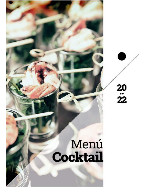

## Menú **Cocktail**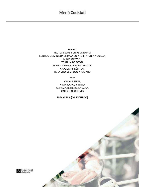Menú 1 FRUTOS SECOS Y CHIPS DE PATATA SURTIDO DE MINICONOS (MANGO Y FOIE, ATUN Y PIQUILLO) MINI SANDWICH **TORTILLA DE PATATA** MINIBROCHETAS DE POLLO TERIYAKI CROQUETAS RÚSTICAS BOCADITO DE CHOCO Y PLÁTANO

\*\*\*\*

VINO DE JEREZ, VINO BLANCO Y TINTO CERVEZA, REFRESCOS Y AGUA **CAFES E INFUSIONES** 

PRECIO 26 € (IVA INCLUIDO)

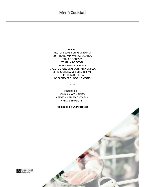## Menú Cocktail

Menú 2

FRUTOS SECOS Y CHIPS DE PATATA SURTIDO DE MINIVASITOS SALADOS TABLA DE QUESOS TORTILLA DE PATATA MINISANWICH VARIADO GYOZA DE VERDURAS CON SALSA DE SOJA MINIBROCHETAS DE POLLO TERIYAKI BROCHETA DE FRUTA BOCADITO DE CHOCO Y PLÁTANO

\*\*\*\*

VINO DE JEREZ, VINO BLANCO Y TINTO CERVEZA, REFRESCOS Y AGUA CAFES E INFUSIONES

PRECIO 30 € (IVA INCLUIDO)

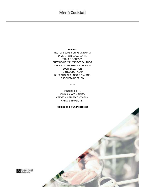Menú 3 FRUTOS SECOS Y CHIPS DE PATATA JAMÓN IBÉRICO AL CORTE TABLA DE QUESOS SURTIDO DE MINIVASITOS SALADOS CARPACCIO DE BUEY Y ALBAHACA **SUSHI SELECTION TORTILLA DE PATATA** BOCADITO DE CHOCO Y PLÁTANO **BROCHETA DE FRUTA** 

\*\*\*\*

VINO DE JEREZ, **VINO BLANCO Y TINTO** CERVEZA, REFRESCOS Y AGUA **CAFES E INFUSIONES** 

PRECIO 36 € (IVA INCLUIDO)

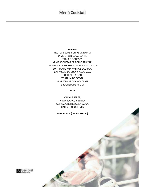Menú 4

FRUTOS SECOS Y CHIPS DE PATATA JAMÓN IBÉRICO AL CORTE **TABLA DE QUESOS** MINIBROCHETAS DE POLLO TERIYAKI TWISTER DE LANGOSTINO CON SALSA DE SOJA SURTIDO DE MINIVASITOS SALADOS CARPACCIO DE BUEY Y ALBAHACA **SUSHI SELECTION TORTILLA DE PATATA** MINI ECLAIRS DE CHOCOLATE **BROCHETA DE FRUTA** 

\*\*\*\*

VINO DE JEREZ, **VINO BLANCO Y TINTO** CERVEZA, REFRESCOS Y AGUA **CAFES E INFUSIONES** 

## PRECIO 40 € (IVA INCLUIDO)